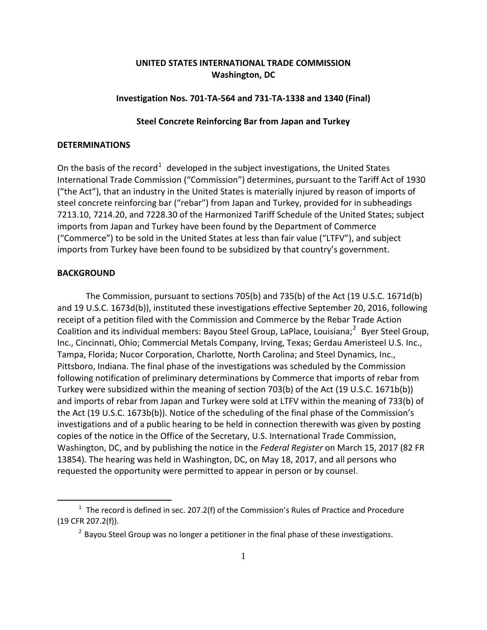# **UNITED STATES INTERNATIONAL TRADE COMMISSION Washington, DC**

### **Investigation Nos. 701-TA-564 and 731-TA-1338 and 1340 (Final)**

## **Steel Concrete Reinforcing Bar from Japan and Turkey**

### **DETERMINATIONS**

On the basis of the record<sup>[1](#page-0-0)</sup> developed in the subject investigations, the United States International Trade Commission ("Commission") determines, pursuant to the Tariff Act of 1930 ("the Act"), that an industry in the United States is materially injured by reason of imports of steel concrete reinforcing bar ("rebar") from Japan and Turkey, provided for in subheadings 7213.10, 7214.20, and 7228.30 of the Harmonized Tariff Schedule of the United States; subject imports from Japan and Turkey have been found by the Department of Commerce ("Commerce") to be sold in the United States at less than fair value ("LTFV"), and subject imports from Turkey have been found to be subsidized by that country's government.

### **BACKGROUND**

 $\overline{a}$ 

The Commission, pursuant to sections 705(b) and 735(b) of the Act (19 U.S.C. 1671d(b) and 19 U.S.C. 1673d(b)), instituted these investigations effective September 20, 2016, following receipt of a petition filed with the Commission and Commerce by the Rebar Trade Action Coalition and its individual members: Bayou Steel Group, LaPlace, Louisiana;<sup>[2](#page-0-1)</sup> Byer Steel Group, Inc., Cincinnati, Ohio; Commercial Metals Company, Irving, Texas; Gerdau Ameristeel U.S. Inc., Tampa, Florida; Nucor Corporation, Charlotte, North Carolina; and Steel Dynamics, Inc., Pittsboro, Indiana. The final phase of the investigations was scheduled by the Commission following notification of preliminary determinations by Commerce that imports of rebar from Turkey were subsidized within the meaning of section 703(b) of the Act (19 U.S.C. 1671b(b)) and imports of rebar from Japan and Turkey were sold at LTFV within the meaning of 733(b) of the Act (19 U.S.C. 1673b(b)). Notice of the scheduling of the final phase of the Commission's investigations and of a public hearing to be held in connection therewith was given by posting copies of the notice in the Office of the Secretary, U.S. International Trade Commission, Washington, DC, and by publishing the notice in the *Federal Register* on March 15, 2017 (82 FR 13854). The hearing was held in Washington, DC, on May 18, 2017, and all persons who requested the opportunity were permitted to appear in person or by counsel.

<span id="page-0-1"></span><span id="page-0-0"></span> $1$  The record is defined in sec. 207.2(f) of the Commission's Rules of Practice and Procedure (19 CFR 207.2(f)).

 $2$  Bayou Steel Group was no longer a petitioner in the final phase of these investigations.